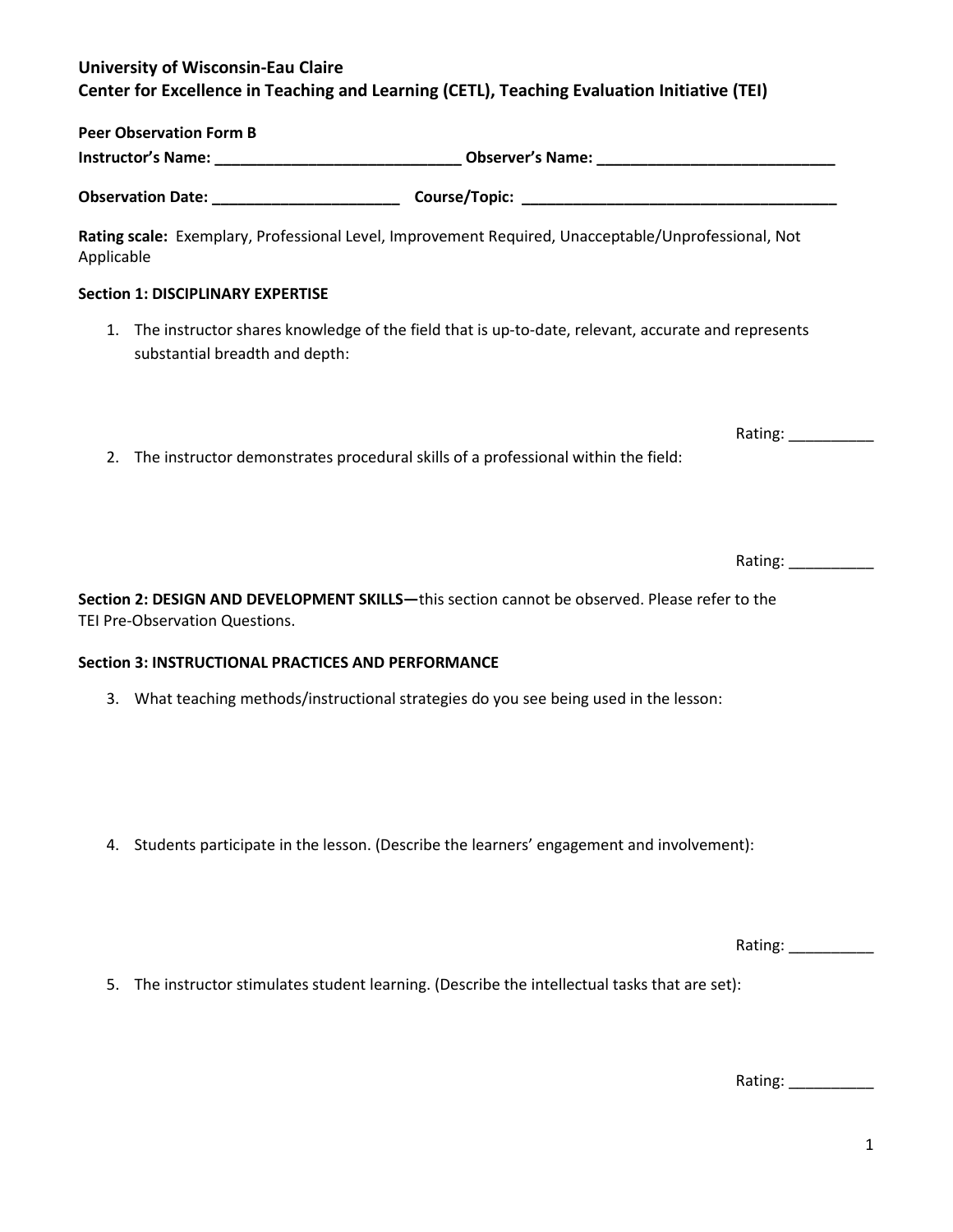## **University of Wisconsin-Eau Claire Center for Excellence in Teaching and Learning (CETL), Teaching Evaluation Initiative (TEI)**

| <b>Peer Observation Form B</b> |                         |  |
|--------------------------------|-------------------------|--|
| <b>Instructor's Name:</b>      | <b>Observer's Name:</b> |  |
|                                |                         |  |
| <b>Observation Date:</b>       | Course/Topic:           |  |

**Rating scale:** Exemplary, Professional Level, Improvement Required, Unacceptable/Unprofessional, Not Applicable

#### **Section 1: DISCIPLINARY EXPERTISE**

- 1. The instructor shares knowledge of the field that is up-to-date, relevant, accurate and represents substantial breadth and depth:
- 2. The instructor demonstrates procedural skills of a professional within the field:

Rating:

**Section 2: DESIGN AND DEVELOPMENT SKILLS—**this section cannot be observed. Please refer to the TEI Pre-Observation Questions.

### **Section 3: INSTRUCTIONAL PRACTICES AND PERFORMANCE**

- 3. What teaching methods/instructional strategies do you see being used in the lesson:
- 4. Students participate in the lesson. (Describe the learners' engagement and involvement):

Rating: \_\_\_\_\_\_\_\_\_\_\_\_\_

Rating: \_\_\_\_\_\_\_\_\_\_\_\_\_

5. The instructor stimulates student learning. (Describe the intellectual tasks that are set):

Rating: \_\_\_\_\_\_\_\_\_\_\_\_\_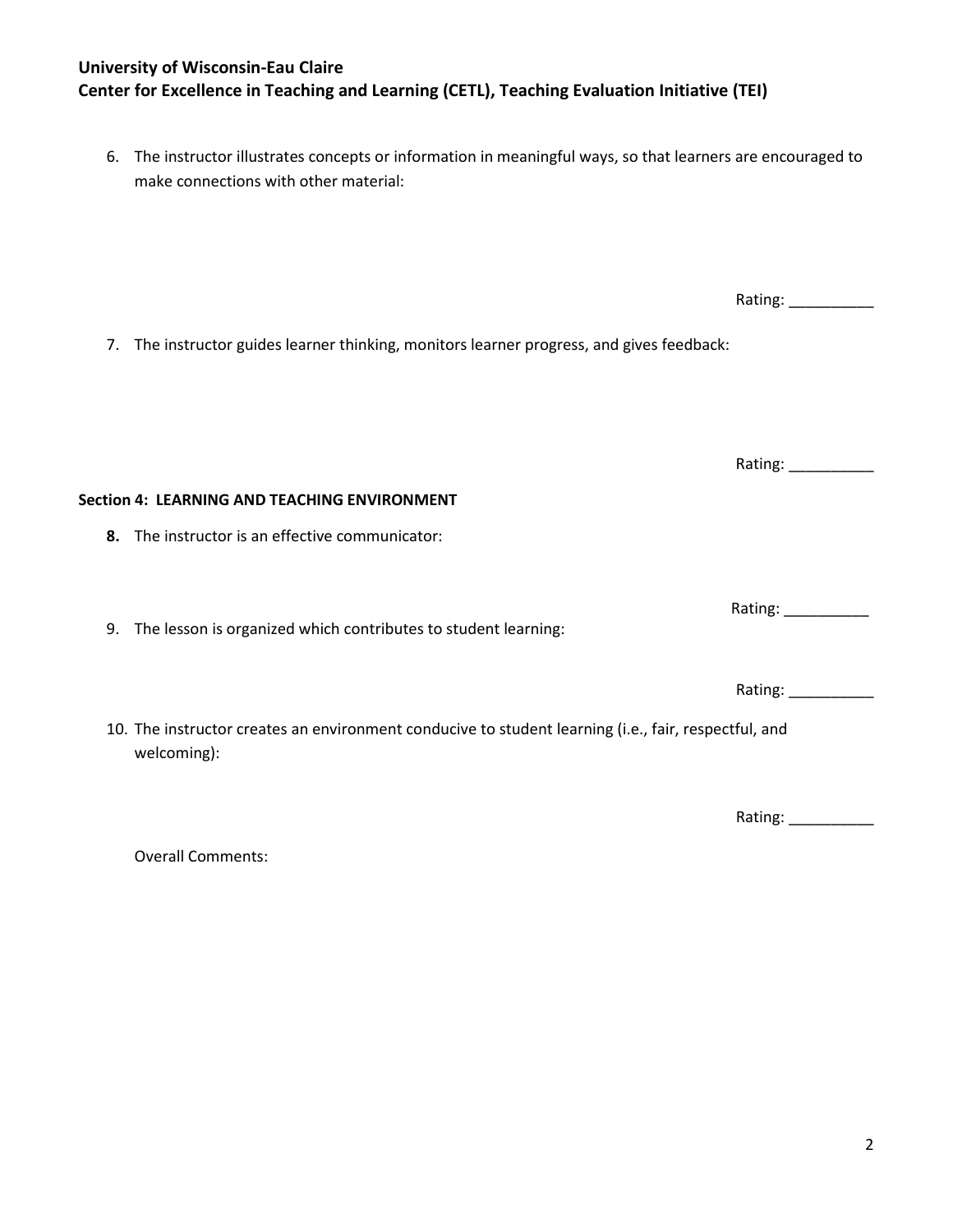### **University of Wisconsin-Eau Claire Center for Excellence in Teaching and Learning (CETL), Teaching Evaluation Initiative (TEI)**

6. The instructor illustrates concepts or information in meaningful ways, so that learners are encouraged to make connections with other material:

7. The instructor guides learner thinking, monitors learner progress, and gives feedback:

**Section 4: LEARNING AND TEACHING ENVIRONMENT**

**8.** The instructor is an effective communicator:

9. The lesson is organized which contributes to student learning:

10. The instructor creates an environment conducive to student learning (i.e., fair, respectful, and welcoming):

Rating: \_\_\_\_\_\_\_\_\_\_

Overall Comments:

Rating: \_\_\_\_\_\_\_\_\_\_

Rating: \_\_\_\_\_\_\_\_\_\_\_\_\_

Rating: \_\_\_\_\_\_\_\_\_\_

Rating: \_\_\_\_\_\_\_\_\_\_\_\_